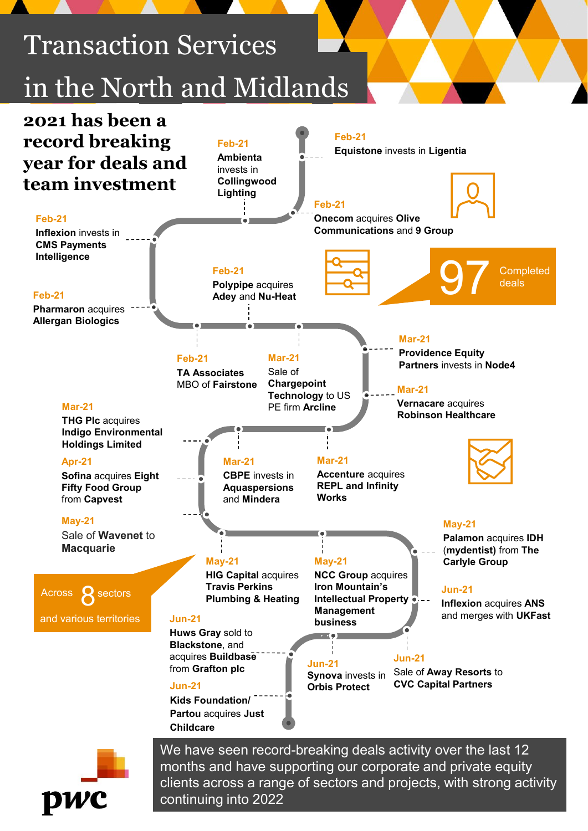

months and have supporting our corporate and private equity clients across a range of sectors and projects, with strong activity continuing into 2022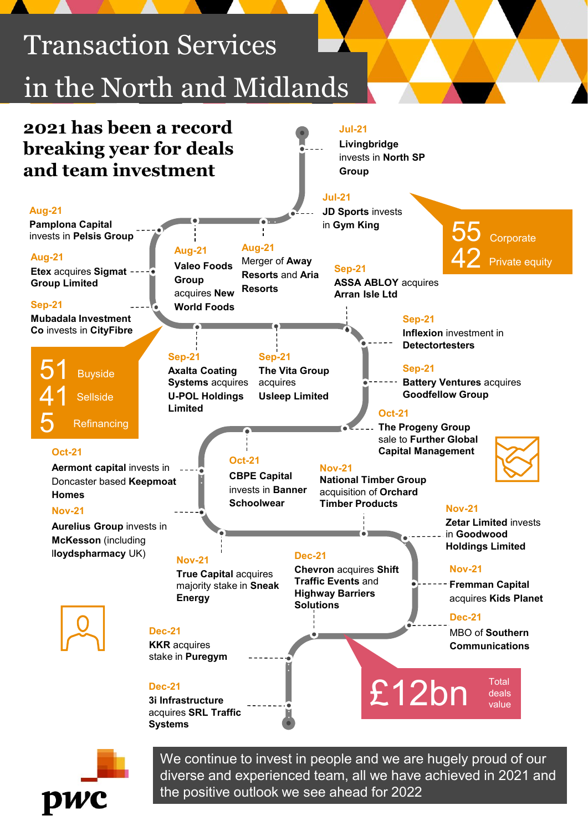

the positive outlook we see ahead for 2022